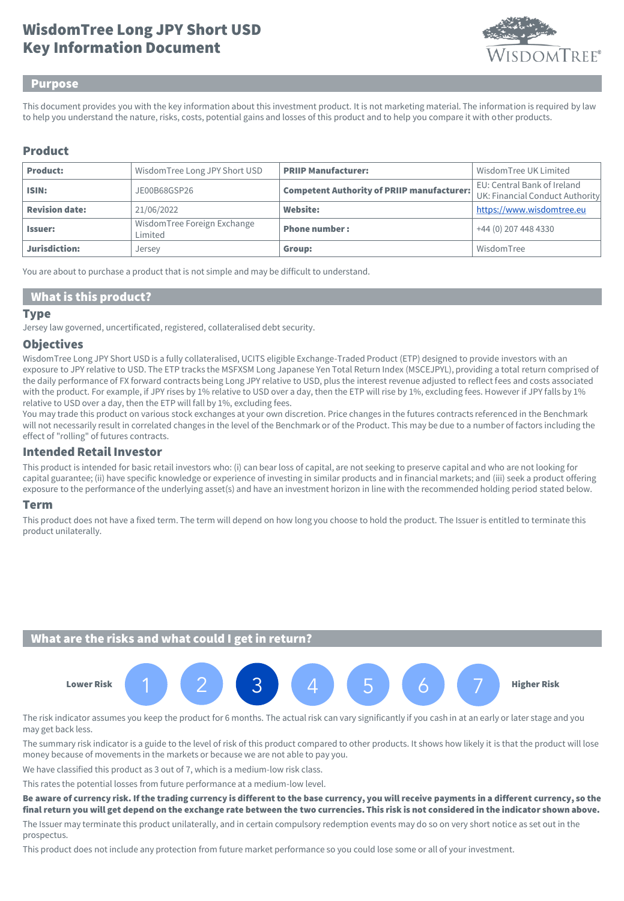# Key Information Document WisdomTree Long JPY Short USD



#### Purpose

This document provides you with the key information about this investment product. It is not marketing material. The information is required by law to help you understand the nature, risks, costs, potential gains and losses of this product and to help you compare it with other products.

### Product

| <b>Product:</b>       | WisdomTree Long JPY Short USD          | <b>PRIIP Manufacturer:</b>                        | Wisdom Tree UK Limited                                         |
|-----------------------|----------------------------------------|---------------------------------------------------|----------------------------------------------------------------|
| ISIN:                 | JE00B68GSP26                           | <b>Competent Authority of PRIIP manufacturer:</b> | EU: Central Bank of Ireland<br>UK: Financial Conduct Authority |
| <b>Revision date:</b> | 21/06/2022                             | <b>Website:</b>                                   | https://www.wisdomtree.eu                                      |
| <b>Issuer:</b>        | WisdomTree Foreign Exchange<br>Limited | <b>Phone number:</b>                              | +44 (0) 207 448 4330                                           |
| Jurisdiction:         | Jersey                                 | Group:                                            | WisdomTree                                                     |

You are about to purchase a product that is not simple and may be difficult to understand.

#### What is this product?

#### Type

Jersey law governed, uncertificated, registered, collateralised debt security.

#### **Objectives**

WisdomTree Long JPY Short USD is a fully collateralised, UCITS eligible Exchange-Traded Product (ETP) designed to provide investors with an exposure to JPY relative to USD. The ETP tracks the MSFXSM Long Japanese Yen Total Return Index (MSCEJPYL), providing a total return comprised of the daily performance of FX forward contracts being Long JPY relative to USD, plus the interest revenue adjusted to reflect fees and costs associated with the product. For example, if JPY rises by 1% relative to USD over a day, then the ETP will rise by 1%, excluding fees. However if JPY falls by 1% relative to USD over a day, then the ETP will fall by 1%, excluding fees.

You may trade this product on various stock exchanges at your own discretion. Price changes in the futures contracts referenced in the Benchmark will not necessarily result in correlated changes in the level of the Benchmark or of the Product. This may be due to a number of factors including the effect of "rolling" of futures contracts.

#### Intended Retail Investor

This product is intended for basic retail investors who: (i) can bear loss of capital, are not seeking to preserve capital and who are not looking for capital guarantee; (ii) have specific knowledge or experience of investing in similar products and in financial markets; and (iii) seek a product offering exposure to the performance of the underlying asset(s) and have an investment horizon in line with the recommended holding period stated below.

#### Term

This product does not have a fixed term. The term will depend on how long you choose to hold the product. The Issuer is entitled to terminate this product unilaterally.

### What are the risks and what could I get in return?



The risk indicator assumes you keep the product for 6 months. The actual risk can vary significantly if you cash in at an early or later stage and you may get back less.

The summary risk indicator is a guide to the level of risk of this product compared to other products. It shows how likely it is that the product will lose money because of movements in the markets or because we are not able to pay you.

We have classified this product as 3 out of 7, which is a medium-low risk class.

This rates the potential losses from future performance at a medium-low level.

Be aware of currency risk. If the trading currency is different to the base currency, you will receive payments in a different currency, so the final return you will get depend on the exchange rate between the two currencies. This risk is not considered in the indicator shown above.

The Issuer may terminate this product unilaterally, and in certain compulsory redemption events may do so on very short notice as set out in the prospectus.

This product does not include any protection from future market performance so you could lose some or all of your investment.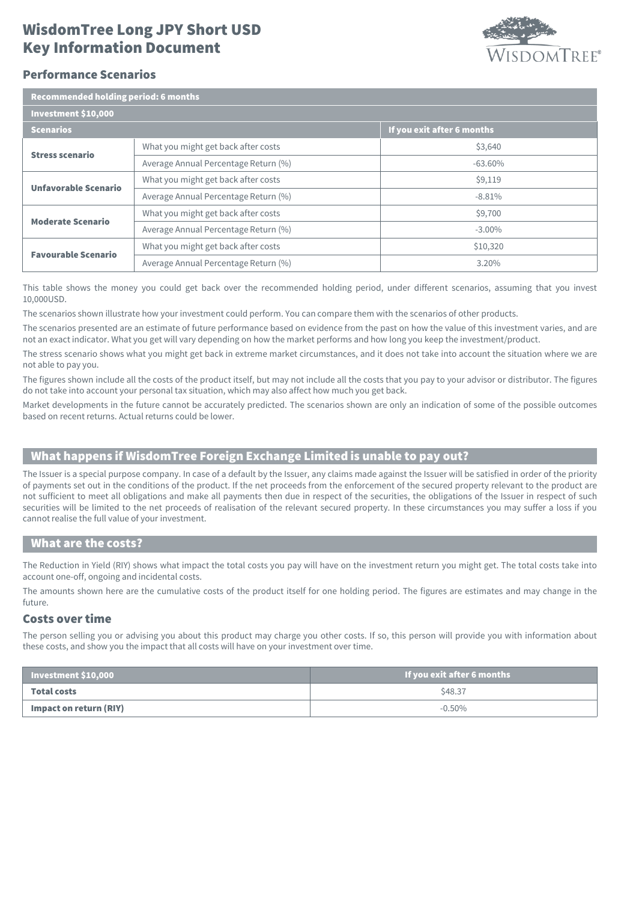## Key Information Document WisdomTree Long JPY Short USD



#### Performance Scenarios

| Recommended holding period: 6 months |                                      |                            |  |  |
|--------------------------------------|--------------------------------------|----------------------------|--|--|
| Investment \$10,000                  |                                      |                            |  |  |
| <b>Scenarios</b>                     |                                      | If you exit after 6 months |  |  |
| <b>Stress scenario</b>               | What you might get back after costs  | \$3,640                    |  |  |
|                                      | Average Annual Percentage Return (%) | $-63.60%$                  |  |  |
| <b>Unfavorable Scenario</b>          | What you might get back after costs  | \$9,119                    |  |  |
|                                      | Average Annual Percentage Return (%) | $-8.81%$                   |  |  |
| <b>Moderate Scenario</b>             | What you might get back after costs  | \$9,700                    |  |  |
|                                      | Average Annual Percentage Return (%) | $-3.00\%$                  |  |  |
| <b>Favourable Scenario</b>           | What you might get back after costs  | \$10,320                   |  |  |
|                                      | Average Annual Percentage Return (%) | 3.20%                      |  |  |

This table shows the money you could get back over the recommended holding period, under different scenarios, assuming that you invest 10,000USD.

The scenarios shown illustrate how your investment could perform. You can compare them with the scenarios of other products.

The scenarios presented are an estimate of future performance based on evidence from the past on how the value of this investment varies, and are not an exact indicator. What you get will vary depending on how the market performs and how long you keep the investment/product.

The stress scenario shows what you might get back in extreme market circumstances, and it does not take into account the situation where we are not able to pay you.

The figures shown include all the costs of the product itself, but may not include all the costs that you pay to your advisor or distributor. The figures do not take into account your personal tax situation, which may also affect how much you get back.

Market developments in the future cannot be accurately predicted. The scenarios shown are only an indication of some of the possible outcomes based on recent returns. Actual returns could be lower.

## What happens if WisdomTree Foreign Exchange Limited is unable to pay out?

The Issuer is a special purpose company. In case of a default by the Issuer, any claims made against the Issuer will be satisfied in order of the priority of payments set out in the conditions of the product. If the net proceeds from the enforcement of the secured property relevant to the product are not sufficient to meet all obligations and make all payments then due in respect of the securities, the obligations of the Issuer in respect of such securities will be limited to the net proceeds of realisation of the relevant secured property. In these circumstances you may suffer a loss if you cannot realise the full value of your investment.

#### What are the costs?

The Reduction in Yield (RIY) shows what impact the total costs you pay will have on the investment return you might get. The total costs take into account one-off, ongoing and incidental costs.

The amounts shown here are the cumulative costs of the product itself for one holding period. The figures are estimates and may change in the future.

#### Costs over time

The person selling you or advising you about this product may charge you other costs. If so, this person will provide you with information about these costs, and show you the impact that all costs will have on your investment over time.

| Investment \$10,000    | If you exit after 6 months |
|------------------------|----------------------------|
| <b>Total costs</b>     | \$48.37                    |
| Impact on return (RIY) | $-0.50\%$                  |